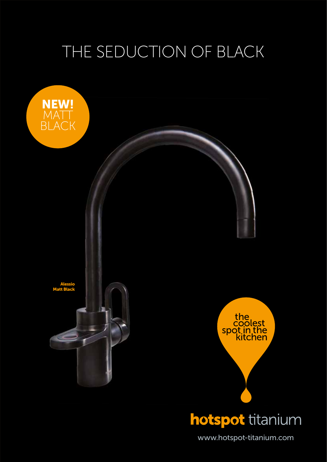# THE SEDUCTION OF BLACK



**hotspot** titanium

www.hotspot-titanium.com